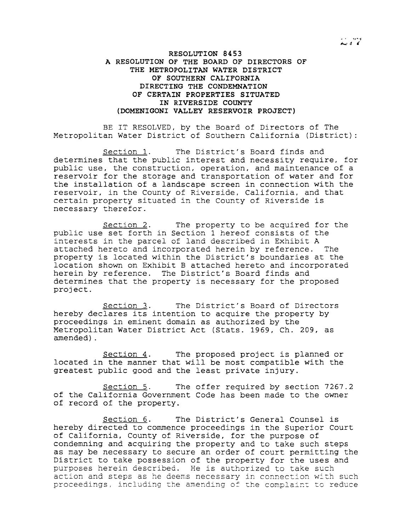## **RESOLUTION 8453 A RESOLUTION OF THE BOARD OF DIRECTORS OF THE METROPOLITAN WATER DISTRICT OF SOUTHERN CALIFORNIA DIRECTING THE CONDEMNATION OF CERTAIN PROPERTIES SITUATED IN RIVERSIDE COUNTY (DOMENIGONI VALLEY RESERVOIR PROJECT)**

BE IT RESOLVED, by the Board of Directors of The Metropolitan Water District of Southern California (District):

Section 1. The District's Board finds and determines that the public interest and necessity require, for public use, the construction, operation, and maintenance of a reservoir for the storage and transportation of water and for the installation of <sup>a</sup> landscape screen in connection with the reservoir, in the County of Riverside, California, and that certain property situated in the County of Riverside is necessary therefor.

Section 2. The property to be acquired for the public use set forth in Section <sup>1</sup> hereof consists of the interests in the parcel of land described in Exhibit <sup>A</sup> attached hereto and incorporated herein by reference. The property is located within the District's boundaries at the location shown on Exhibit B attached hereto and incorporated herein by reference. The District's Board finds and determines that the property is necessary for the proposed project.

Section 3. The District's Board of Directors hereby declares its intention to acquire the property by proceedings in eminent domain as authorized by the Metropolitan Water District Act (Stats. 1969, Ch. 209, as amended) .

Section 4. The proposed project is planned or located in the manner that will be most compatible with the greatest public good and the least private injury.

Section 5. The offer required by section 7267.2 of the California Government Code has been made to the owner of record of the property.

Section 6. The District's General Counsel is hereby directed to commence proceedings in the Superior Court of California, County of Riverside, for the purpose of condemning and acquiring the property and to take such steps as may be necessary to secure an order of court permitting the District to take possession of the property for the uses and purposes herein described. He is authorized to take such action and steps as he deems necessary in connection with such proceedings, including the amending of the complaint to reduce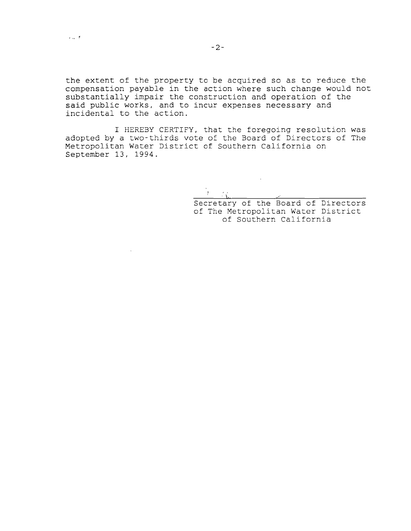the extent of the property to be acquired so as to reduce the compensation payable in the action where such change would not substantially impair the construction and operation of the said public works, and to incur expenses necessary and incidental to the action.

I HEREBY CERTIFY, that the foregoing resolution was adopted by a two-thirds vote of the Board of Directors of The Metropolitan Water District of Southern California on September 13, 1994.

<u>La Communica</u>

 $\sim 10^{11}$  km  $^{-1}$ 

Secretary of the Board of Directors of The Metropolitan Water District of Southern California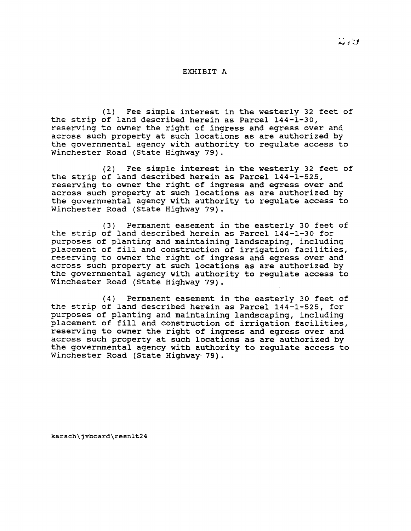## EXHIBIT A

(1) Fee simple interest in the westerly <sup>32</sup> feet of the strip of land described herein as Parcel 144-1-30, reserving to owner the right of ingress and egress over and across such property at such locations as are authorized by the governmental agency with authority to regulate access to Winchester Road (state Highway 79).

(2) Fee simple interest in the westerly <sup>32</sup> feet of the strip of land described herein as Parcel 144-1-525, reserving to owner the right of ingress and egress over and across such property at such locations as are authorized by the governmental agency with authority to regulate access to Winchester Road (state Highway 79).

(3) Permanent easement in the easterly 30 feet of the strip of land described herein as Parcel 144-1-30 for purposes of planting and maintaining landscaping, including placement of fill and construction of irrigation facilities, reserving to owner the right of ingress and egress over and across such property at such locations as are authorized by the governmental agency with authority to regulate access to Winchester Road (state Highway 79).

(4) Permanent easement in the easterly 30 feet of the strip of land described herein as Parcel 144-1-525, for purposes of planting and maintaining landscaping, including placement of fill and construction of irrigation facilities, reserving to owner the right of ingress and egress over and across such property at such locations as are authorized by the governmental agency with authority to regulate access to Winchester Road (State Highway- 79).

karsch\jvboard\resnlt24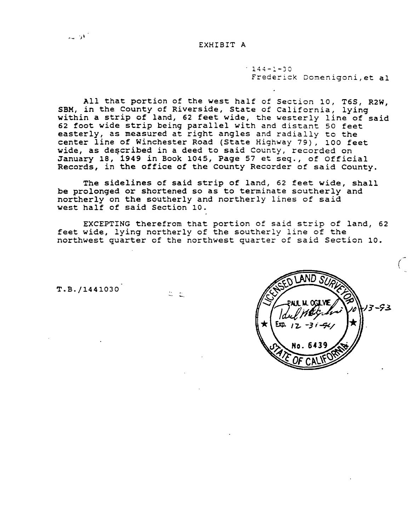## EXHIBIT A

 $144 - 1 - 30$ Frederick Domenigoni,et al

All that portion of the west half of Section 10, T6S, R2W, SBM, in the County of Riverside, State of California, lying bun, in the county of hiverbrac, beace of callicinia, lying<br>within a strip of land, 62 feet wide, the westerly line of said <sup>62</sup> foot wide strip being parallel with and distant <sup>50</sup> feet easterly, as measured at right angles and radially to the center line of Winchester Road (State Highway 79), 100 feet wide, as described in a deed to said County, recorded on January 18, 1949 in Book 1045, Page <sup>57</sup> et seq., of Official Records, in the office of the County Recorder of said County.

The sidelines of said strip of land, <sup>62</sup> feet wide, shall be prolonged or shortened so as to terminate southerly and northerly on the southerly and northerly lines of said west half of said Section 10.

EXCEPTING therefrom that portion of said strip of land, <sup>62</sup> feet wide, lying northerly of the southerly line of the northwest quarter of the northwest quarter of said Section 10.

T.B./1441030



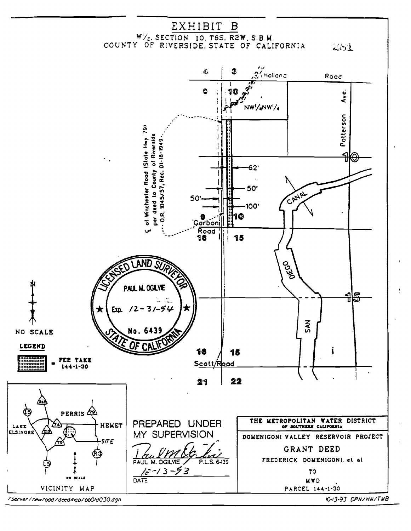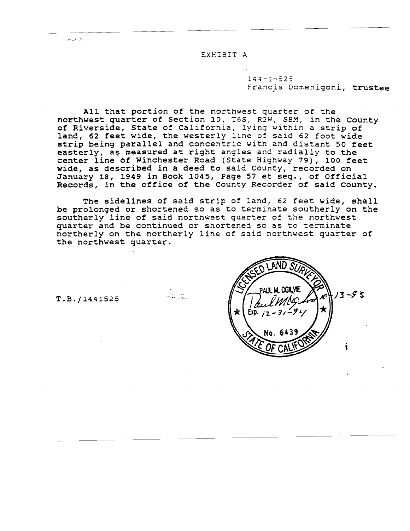$r_{\rm max}$ ,  $\sim$  12  $\sim$ 

EXHIBIT A

 $144 - 1 - 525$ Francis Domenigoni, trustee

All that portion of the northwest quarter of the northwest quarter of Section *10,* T6S, R2W, SSM, in the County of Riverside, State of California, lying within <sup>a</sup> strip of land, <sup>62</sup> feet wide, the westerly line of said 62 foot wide strip being parallel and concentric with and distant <sup>50</sup> feet easterly, as measured at right angles and radially to the center line of Winchester Road (State Highway 79), 100 feet wide, as described in a deed to said County, recorded on January 18, 1949 in Book 1045, Page <sup>57</sup> et seq., of Official Records, in the office of the County Recorder of said county.

The sidelines of said strip of land, <sup>62</sup> feet wide, shall be prolonged or shortened so as to terminate southerly on the southerly line of said northwest quarter of the northwest quarter and be continued or shortened so as to terminate northerly on the northerly line of said northwest quarter of the northwest quarter.